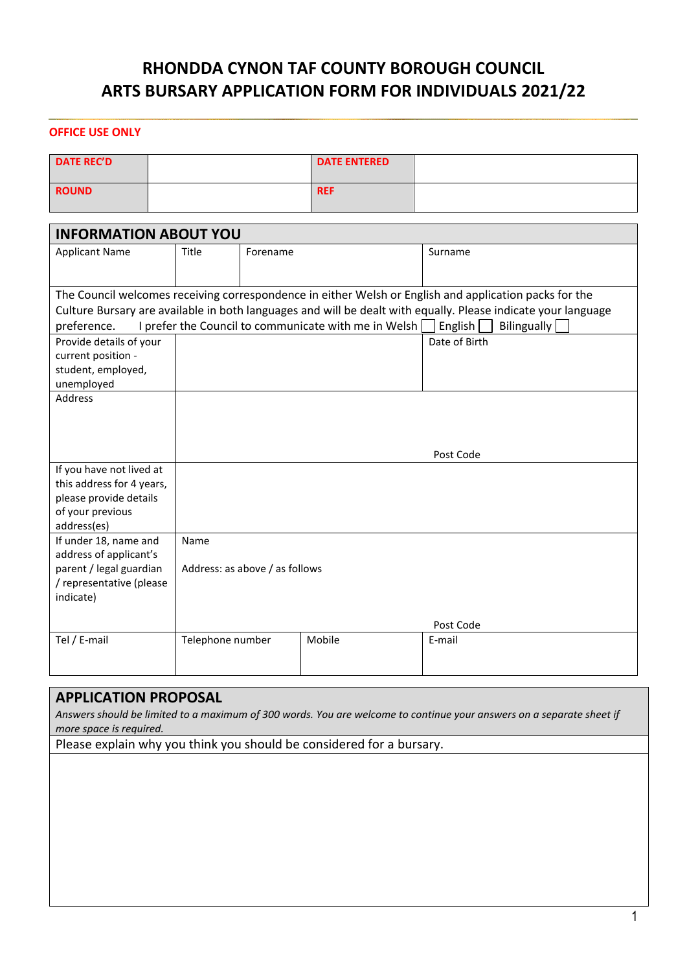# **RHONDDA CYNON TAF COUNTY BOROUGH COUNCIL ARTS BURSARY APPLICATION FORM FOR INDIVIDUALS 2021/22**

#### **OFFICE USE ONLY**

| <b>DATE REC'D</b>                                                                                                                                                                                                                                                                                                                      |  |                                        |          | <b>DATE ENTERED</b> |                     |  |  |  |
|----------------------------------------------------------------------------------------------------------------------------------------------------------------------------------------------------------------------------------------------------------------------------------------------------------------------------------------|--|----------------------------------------|----------|---------------------|---------------------|--|--|--|
| <b>ROUND</b>                                                                                                                                                                                                                                                                                                                           |  |                                        |          | <b>REF</b>          |                     |  |  |  |
| <b>INFORMATION ABOUT YOU</b>                                                                                                                                                                                                                                                                                                           |  |                                        |          |                     |                     |  |  |  |
| <b>Applicant Name</b><br><b>Title</b>                                                                                                                                                                                                                                                                                                  |  |                                        | Forename |                     | Surname             |  |  |  |
| The Council welcomes receiving correspondence in either Welsh or English and application packs for the<br>Culture Bursary are available in both languages and will be dealt with equally. Please indicate your language<br>I prefer the Council to communicate with me in Welsh<br>English $\Box$<br><b>Bilingually</b><br>preference. |  |                                        |          |                     |                     |  |  |  |
| Provide details of your<br>current position -<br>student, employed,<br>unemployed                                                                                                                                                                                                                                                      |  |                                        |          |                     | Date of Birth       |  |  |  |
| <b>Address</b>                                                                                                                                                                                                                                                                                                                         |  |                                        |          |                     | Post Code           |  |  |  |
| If you have not lived at<br>this address for 4 years,<br>please provide details<br>of your previous<br>address(es)                                                                                                                                                                                                                     |  |                                        |          |                     |                     |  |  |  |
| If under 18, name and<br>address of applicant's<br>parent / legal guardian<br>/ representative (please<br>indicate)                                                                                                                                                                                                                    |  | Name<br>Address: as above / as follows |          |                     |                     |  |  |  |
| Tel / E-mail                                                                                                                                                                                                                                                                                                                           |  | Telephone number                       |          | Mobile              | Post Code<br>E-mail |  |  |  |

#### **APPLICATION PROPOSAL**

*Answers should be limited to a maximum of 300 words. You are welcome to continue your answers on a separate sheet if more space is required.*

Please explain why you think you should be considered for a bursary.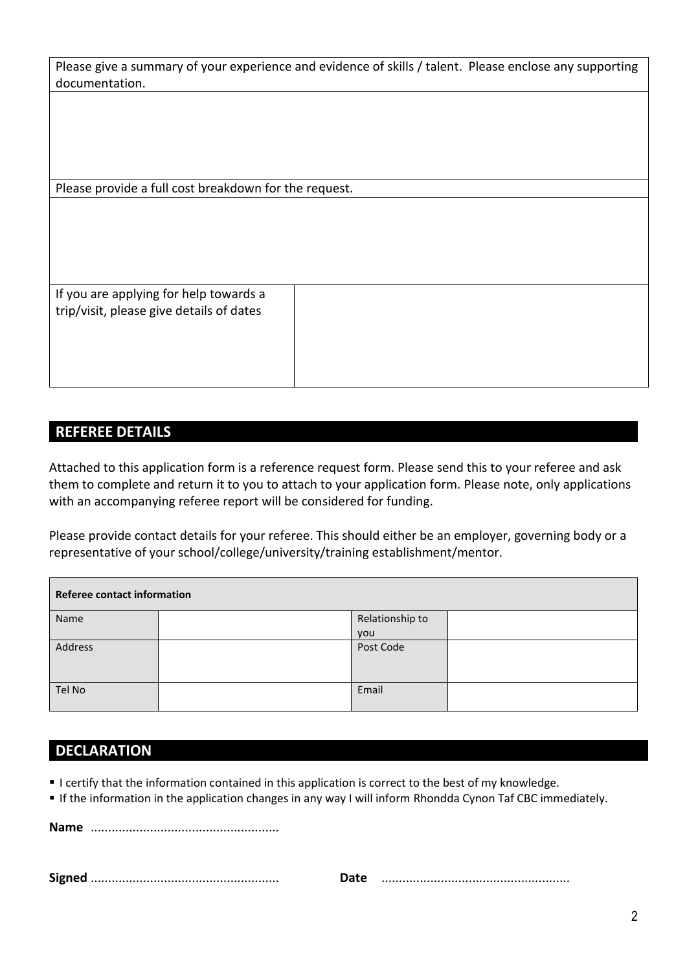Please give a summary of your experience and evidence of skills / talent. Please enclose any supporting documentation.

Please provide a full cost breakdown for the request.

If you are applying for help towards a trip/visit, please give details of dates

#### **REFEREE DETAILS**

Attached to this application form is a reference request form. Please send this to your referee and ask them to complete and return it to you to attach to your application form. Please note, only applications with an accompanying referee report will be considered for funding.

Please provide contact details for your referee. This should either be an employer, governing body or a representative of your school/college/university/training establishment/mentor.

| <b>Referee contact information</b> |  |                 |  |  |  |  |  |
|------------------------------------|--|-----------------|--|--|--|--|--|
| Name                               |  | Relationship to |  |  |  |  |  |
|                                    |  | <b>VOU</b>      |  |  |  |  |  |
| Address                            |  | Post Code       |  |  |  |  |  |
|                                    |  |                 |  |  |  |  |  |
|                                    |  |                 |  |  |  |  |  |
| Tel No                             |  | Email           |  |  |  |  |  |
|                                    |  |                 |  |  |  |  |  |

## **DECLARATION**

- **I** certify that the information contained in this application is correct to the best of my knowledge.
- If the information in the application changes in any way I will inform Rhondda Cynon Taf CBC immediately.

**Name** ......................................................

**Signed** ...................................................... **Date** ......................................................